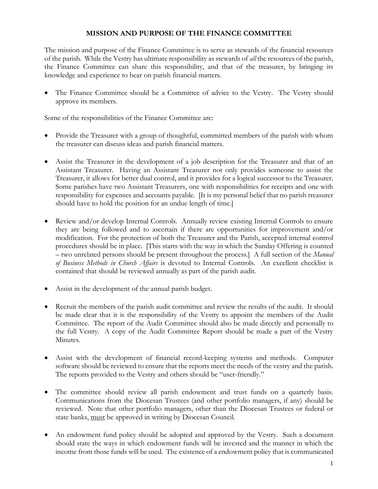# **MISSION AND PURPOSE OF THE FINANCE COMMITTEE**

The mission and purpose of the Finance Committee is to serve as stewards of the financial resources of the parish. While the Vestry has ultimate responsibility as stewards of *all* the resources of the parish, the Finance Committee can share this responsibility, and that of the treasurer, by bringing its knowledge and experience to bear on parish financial matters.

• The Finance Committee should be a Committee of advice to the Vestry. The Vestry should approve its members.

Some of the responsibilities of the Finance Committee are:

- Provide the Treasurer with a group of thoughtful, committed members of the parish with whom the treasurer can discuss ideas and parish financial matters.
- Assist the Treasurer in the development of a job description for the Treasurer and that of an Assistant Treasurer. Having an Assistant Treasurer not only provides someone to assist the Treasurer, it allows for better dual control, and it provides for a logical successor to the Treasurer. Some parishes have two Assistant Treasurers, one with responsibilities for receipts and one with responsibility for expenses and accounts payable. [It is my personal belief that no parish treasurer should have to hold the position for an undue length of time.]
- Review and/or develop Internal Controls. Annually review existing Internal Controls to ensure they are being followed and to ascertain if there are opportunities for improvement and/or modification. For the protection of both the Treasurer and the Parish, accepted internal control procedures should be in place. [This starts with the way in which the Sunday Offering is counted – two unrelated persons should be present throughout the process.] A full section of the *Manual of Business Methods in Church Affairs* is devoted to Internal Controls. An excellent checklist is contained that should be reviewed annually as part of the parish audit.
- Assist in the development of the annual parish budget.
- Recruit the members of the parish audit committee and review the results of the audit. It should be made clear that it is the responsibility of the Vestry to appoint the members of the Audit Committee. The report of the Audit Committee should also be made directly and personally to the full Vestry. A copy of the Audit Committee Report should be made a part of the Vestry Minutes.
- Assist with the development of financial record-keeping systems and methods. Computer software should be reviewed to ensure that the reports meet the needs of the vestry and the parish. The reports provided to the Vestry and others should be "user-friendly."
- The committee should review all parish endowment and trust funds on a quarterly basis. Communications from the Diocesan Trustees (and other portfolio managers, if any) should be reviewed. Note that other portfolio managers, other than the Diocesan Trustees or federal or state banks, must be approved in writing by Diocesan Council.
- An endowment fund policy should be adopted and approved by the Vestry. Such a document should state the ways in which endowment funds will be invested and the manner in which the income from those funds will be used. The existence of a endowment policy that is communicated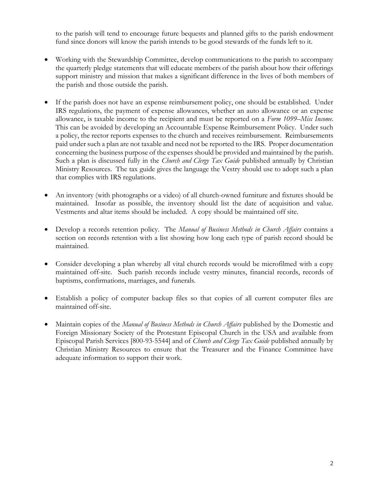to the parish will tend to encourage future bequests and planned gifts to the parish endowment fund since donors will know the parish intends to be good stewards of the funds left to it.

- Working with the Stewardship Committee, develop communications to the parish to accompany the quarterly pledge statements that will educate members of the parish about how their offerings support ministry and mission that makes a significant difference in the lives of both members of the parish and those outside the parish.
- If the parish does not have an expense reimbursement policy, one should be established. Under IRS regulations, the payment of expense allowances, whether an auto allowance or an expense allowance, is taxable income to the recipient and must be reported on a *Form 1099–Misc Income*. This can be avoided by developing an Accountable Expense Reimbursement Policy. Under such a policy, the rector reports expenses to the church and receives reimbursement. Reimbursements paid under such a plan are not taxable and need not be reported to the IRS. Proper documentation concerning the business purpose of the expenses should be provided and maintained by the parish. Such a plan is discussed fully in the *Church and Clergy Tax Guide* published annually by Christian Ministry Resources. The tax guide gives the language the Vestry should use to adopt such a plan that complies with IRS regulations.
- An inventory (with photographs or a video) of all church-owned furniture and fixtures should be maintained. Insofar as possible, the inventory should list the date of acquisition and value. Vestments and altar items should be included. A copy should be maintained off site.
- Develop a records retention policy. The *Manual of Business Methods in Church Affairs* contains a section on records retention with a list showing how long each type of parish record should be maintained.
- Consider developing a plan whereby all vital church records would be microfilmed with a copy maintained off-site. Such parish records include vestry minutes, financial records, records of baptisms, confirmations, marriages, and funerals.
- Establish a policy of computer backup files so that copies of all current computer files are maintained off-site.
- Maintain copies of the *Manual of Business Methods in Church Affairs* published by the Domestic and Foreign Missionary Society of the Protestant Episcopal Church in the USA and available from Episcopal Parish Services [800-93-5544] and of *Church and Clergy Tax Guide* published annually by Christian Ministry Resources to ensure that the Treasurer and the Finance Committee have adequate information to support their work.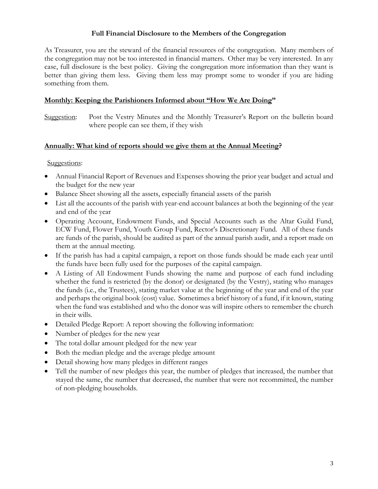# **Full Financial Disclosure to the Members of the Congregation**

As Treasurer, you are the steward of the financial resources of the congregation. Many members of the congregation may not be too interested in financial matters. Other may be very interested. In any case, full disclosure is the best policy. Giving the congregation more information than they want is better than giving them less. Giving them less may prompt some to wonder if you are hiding something from them.

# **Monthly: Keeping the Parishioners Informed about "How We Are Doing"**

Suggestion: Post the Vestry Minutes and the Monthly Treasurer's Report on the bulletin board where people can see them, if they wish

### **Annually: What kind of reports should we give them at the Annual Meeting?**

### Suggestions:

- Annual Financial Report of Revenues and Expenses showing the prior year budget and actual and the budget for the new year
- Balance Sheet showing all the assets, especially financial assets of the parish
- List all the accounts of the parish with year-end account balances at both the beginning of the year and end of the year
- Operating Account, Endowment Funds, and Special Accounts such as the Altar Guild Fund, ECW Fund, Flower Fund, Youth Group Fund, Rector's Discretionary Fund. All of these funds are funds of the parish, should be audited as part of the annual parish audit, and a report made on them at the annual meeting.
- If the parish has had a capital campaign, a report on those funds should be made each year until the funds have been fully used for the purposes of the capital campaign.
- A Listing of All Endowment Funds showing the name and purpose of each fund including whether the fund is restricted (by the donor) or designated (by the Vestry), stating who manages the funds (i.e., the Trustees), stating market value at the beginning of the year and end of the year and perhaps the original book (cost) value. Sometimes a brief history of a fund, if it known, stating when the fund was established and who the donor was will inspire others to remember the church in their wills.
- Detailed Pledge Report: A report showing the following information:
- Number of pledges for the new year
- The total dollar amount pledged for the new year
- Both the median pledge and the average pledge amount
- Detail showing how many pledges in different ranges
- Tell the number of new pledges this year, the number of pledges that increased, the number that stayed the same, the number that decreased, the number that were not recommitted, the number of non-pledging households.